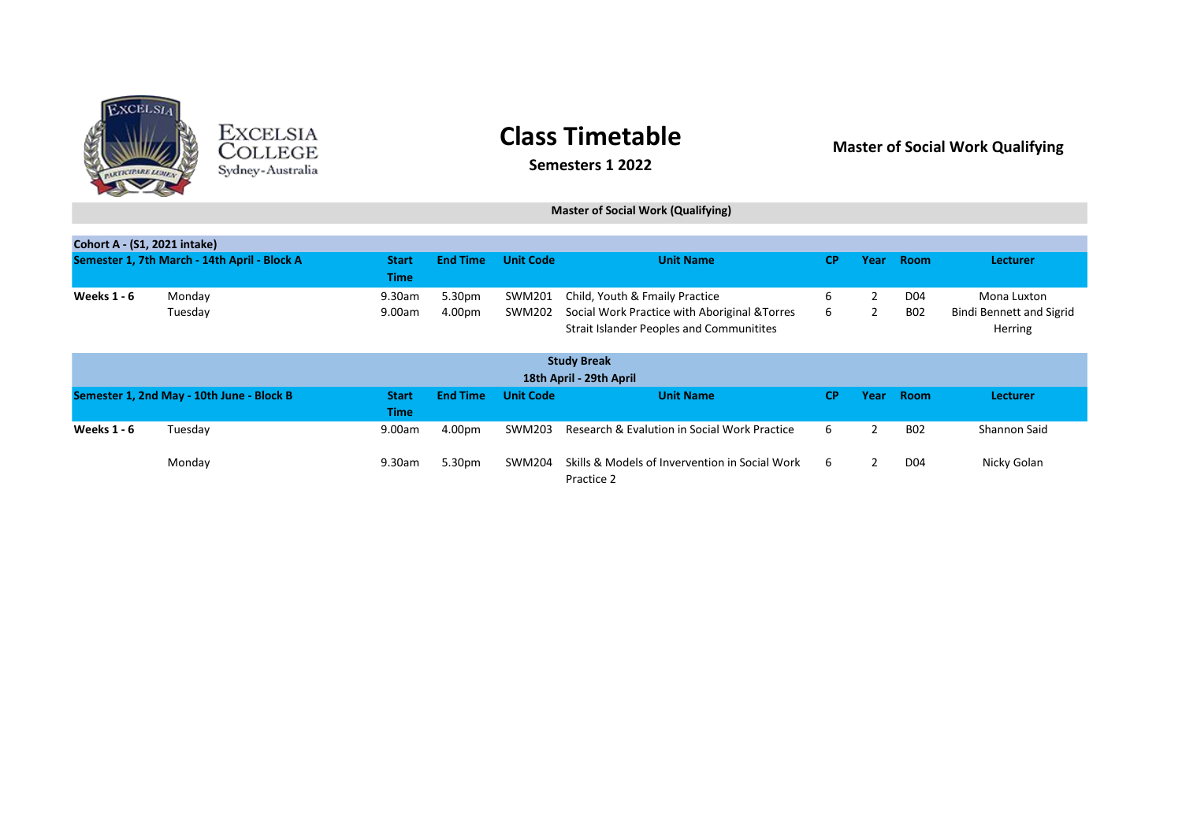

EXCELSIA<br>COLLEGE<br><sub>Sydney</sub>-Australia

## **Class Timetable**

### **Master of Social Work Qualifying**

**Semesters 1 2022**

#### **Master of Social Work (Qualifying)**

| <b>Cohort A - (S1, 2021 intake)</b>          |                                           |                             |                  |                  |                                                                                                                                    |           |                |                   |                                                           |
|----------------------------------------------|-------------------------------------------|-----------------------------|------------------|------------------|------------------------------------------------------------------------------------------------------------------------------------|-----------|----------------|-------------------|-----------------------------------------------------------|
| Semester 1, 7th March - 14th April - Block A |                                           | <b>Start</b><br><b>Time</b> | <b>End Time</b>  | <b>Unit Code</b> | <b>Unit Name</b>                                                                                                                   | <b>CP</b> | Year           | <b>Room</b>       | <b>Lecturer</b>                                           |
| <b>Weeks 1 - 6</b>                           | Monday<br>Tuesday                         | 9.30am<br>9.00am            | 5.30pm<br>4.00pm | SWM201<br>SWM202 | Child, Youth & Fmaily Practice<br>Social Work Practice with Aboriginal & Torres<br><b>Strait Islander Peoples and Communitites</b> | 6<br>6    | 2              | D04<br><b>B02</b> | Mona Luxton<br><b>Bindi Bennett and Sigrid</b><br>Herring |
| <b>Study Break</b>                           |                                           |                             |                  |                  |                                                                                                                                    |           |                |                   |                                                           |
| 18th April - 29th April                      |                                           |                             |                  |                  |                                                                                                                                    |           |                |                   |                                                           |
|                                              | Semester 1, 2nd May - 10th June - Block B | <b>Start</b><br><b>Time</b> | <b>End Time</b>  | <b>Unit Code</b> | <b>Unit Name</b>                                                                                                                   | <b>CP</b> | Year           | <b>Room</b>       | <b>Lecturer</b>                                           |
| <b>Weeks 1 - 6</b>                           | Tuesday                                   | 9.00am                      | 4.00pm           | SWM203           | Research & Evalution in Social Work Practice                                                                                       | 6         | $\mathfrak{p}$ | <b>B02</b>        | Shannon Said                                              |
|                                              | Monday                                    | 9.30am                      | 5.30pm           | SWM204           | Skills & Models of Invervention in Social Work<br>Practice 2                                                                       | 6         | 2              | D04               | Nicky Golan                                               |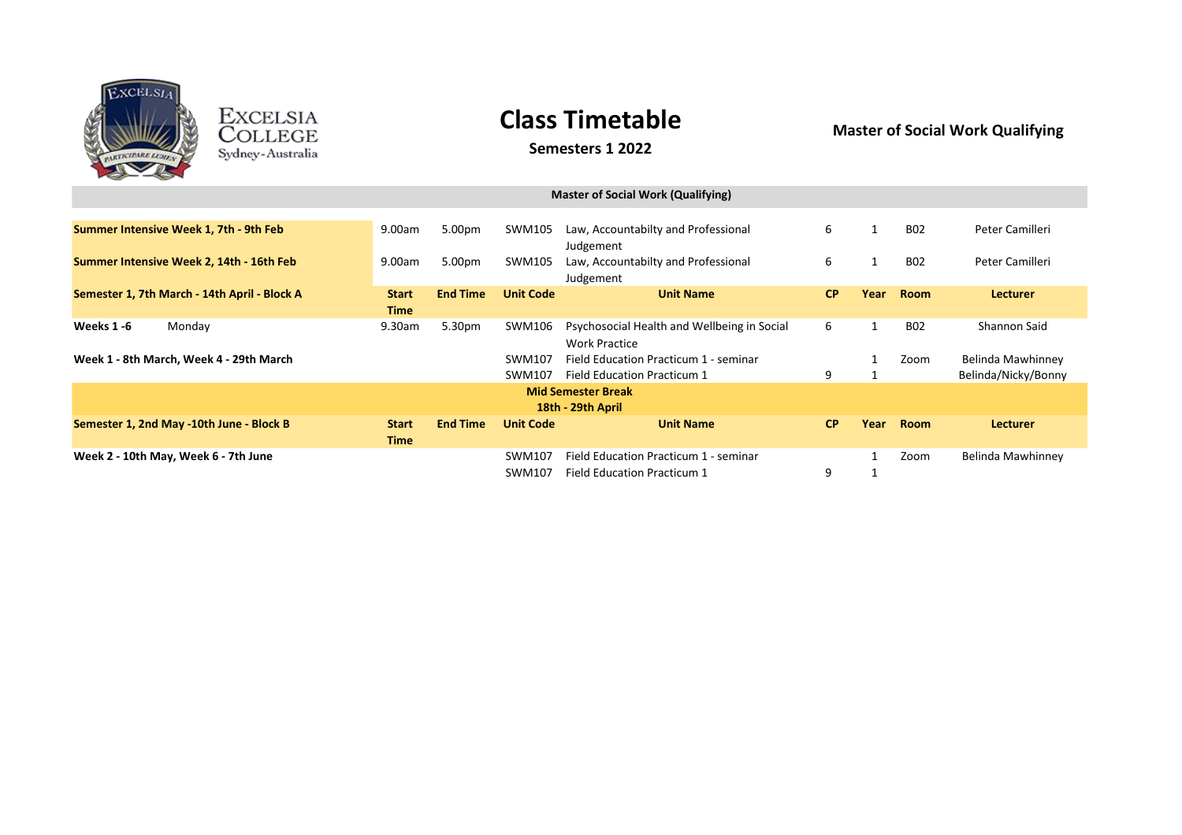

EXCELSIA<br>COLLEGE<br><sub>Sydney-Australia</sub>

# **Class Timetable**

### **Semesters 1 2022**

**Master of Social Work Qualifying**

| <b>Master of Social Work (Qualifying)</b>    |                             |                 |                  |                                                                      |           |              |             |                                          |  |
|----------------------------------------------|-----------------------------|-----------------|------------------|----------------------------------------------------------------------|-----------|--------------|-------------|------------------------------------------|--|
| Summer Intensive Week 1, 7th - 9th Feb       | 9.00am                      | 5.00pm          | SWM105           | Law, Accountabilty and Professional<br>Judgement                     | 6         |              | <b>B02</b>  | Peter Camilleri                          |  |
| Summer Intensive Week 2, 14th - 16th Feb     | 9.00am                      | 5.00pm          | SWM105           | Law, Accountabilty and Professional<br>Judgement                     | 6         | 1            | <b>B02</b>  | Peter Camilleri                          |  |
| Semester 1, 7th March - 14th April - Block A | <b>Start</b><br><b>Time</b> | <b>End Time</b> | <b>Unit Code</b> | <b>Unit Name</b>                                                     | <b>CP</b> | Year         | <b>Room</b> | Lecturer                                 |  |
| Weeks 1-6<br>Monday                          | 9.30am                      | 5.30pm          | SWM106           | Psychosocial Health and Wellbeing in Social<br><b>Work Practice</b>  | 6         | $\mathbf{1}$ | <b>B02</b>  | Shannon Said                             |  |
| Week 1 - 8th March, Week 4 - 29th March      |                             |                 | SWM107<br>SWM107 | Field Education Practicum 1 - seminar<br>Field Education Practicum 1 | 9         |              | Zoom        | Belinda Mawhinney<br>Belinda/Nicky/Bonny |  |
| <b>Mid Semester Break</b>                    |                             |                 |                  |                                                                      |           |              |             |                                          |  |
| Semester 1, 2nd May -10th June - Block B     | <b>Start</b><br><b>Time</b> | <b>End Time</b> | <b>Unit Code</b> | 18th - 29th April<br><b>Unit Name</b>                                | CP        | Year         | <b>Room</b> | <b>Lecturer</b>                          |  |
| Week 2 - 10th May, Week 6 - 7th June         |                             |                 | SWM107<br>SWM107 | Field Education Practicum 1 - seminar<br>Field Education Practicum 1 | 9         |              | Zoom        | Belinda Mawhinney                        |  |